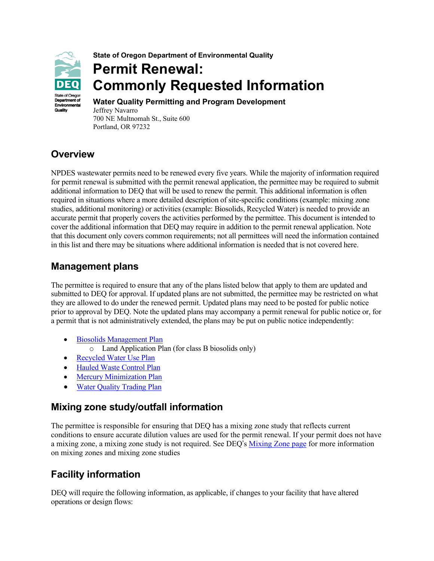

**State of Oregon Department of Environmental Quality**

# **Permit Renewal: Commonly Requested Information**

**Water Quality Permitting and Program Development** Jeffrey Navarro 700 NE Multnomah St., Suite 600 Portland, OR 97232

# **Overview**

NPDES wastewater permits need to be renewed every five years. While the majority of information required for permit renewal is submitted with the permit renewal application, the permittee may be required to submit additional information to DEQ that will be used to renew the permit. This additional information is often required in situations where a more detailed description of site-specific conditions (example: mixing zone studies, additional monitoring) or activities (example: Biosolids, Recycled Water) is needed to provide an accurate permit that properly covers the activities performed by the permittee. This document is intended to cover the additional information that DEQ may require in addition to the permit renewal application. Note that this document only covers common requirements; not all permittees will need the information contained in this list and there may be situations where additional information is needed that is not covered here.

### **Management plans**

The permittee is required to ensure that any of the plans listed below that apply to them are updated and submitted to DEQ for approval. If updated plans are not submitted, the permittee may be restricted on what they are allowed to do under the renewed permit. Updated plans may need to be posted for public notice prior to approval by DEQ. Note the updated plans may accompany a permit renewal for public notice or, for a permit that is not administratively extended, the plans may be put on public notice independently:

- [Biosolids Management Plan](https://www.oregon.gov/deq/wq/programs/Pages/Biosolids.aspx)
	- o Land Application Plan (for class B biosolids only)
- [Recycled Water Use Plan](https://www.oregon.gov/deq/wq/programs/Pages/Water-Reuse-Recycled-Water.aspx)
- [Hauled Waste Control Plan](https://www.epa.gov/npdes/national-pretreatment-program-hauled-waste)
- [Mercury Minimization Plan](https://www.oregon.gov/deq/wq/wqpermits/Pages/NPDES-Individual-Permit-Template.aspx)
- [Water Quality Trading Plan](https://www.oregon.gov/deq/wq/wqpermits/Pages/Trading.aspx)

#### **Mixing zone study/outfall information**

The permittee is responsible for ensuring that DEQ has a mixing zone study that reflects current conditions to ensure accurate dilution values are used for the permit renewal. If your permit does not have a mixing zone, a mixing zone study is not required. See DEQ's [Mixing Zone page](https://www.oregon.gov/deq/wq/wqpermits/Pages/NPDES-Mixing-Zones.aspx) for more information on mixing zones and mixing zone studies

# **Facility information**

DEQ will require the following information, as applicable, if changes to your facility that have altered operations or design flows: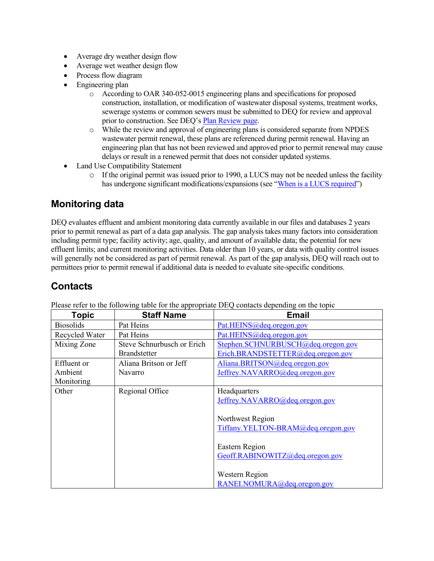- Average dry weather design flow
- Average wet weather design flow
- Process flow diagram
- Engineering plan
	- o According to OAR 340-052-0015 engineering plans and specifications for proposed construction, installation, or modification of wastewater disposal systems, treatment works, sewerage systems or common sewers must be submitted to DEQ for review and approval prior to construction. See DEQ's Plan Review page.
	- o While the review and approval of engineering plans is considered separate from NPDES wastewater permit renewal, these plans are referenced during permit renewal. Having an engineering plan that has not been reviewed and approved prior to permit renewal may cause delays or result in a renewed permit that does not consider updated systems.
- Land Use Compatibility Statement
	- o If the original permit was issued prior to 1990, a LUCS may not be needed unless the facility has undergone significant modifications/expansions (see ["When is a LUCS required"](https://www.oregon.gov/deq/permits/pages/lucs.aspx))

## **Monitoring data**

DEQ evaluates effluent and ambient monitoring data currently available in our files and databases 2 years prior to permit renewal as part of a data gap analysis. The gap analysis takes many factors into consideration including permit type; facility activity; age, quality, and amount of available data; the potential for new effluent limits; and current monitoring activities. Data older than 10 years, or data with quality control issues will generally not be considered as part of permit renewal. As part of the gap analysis, DEQ will reach out to permittees prior to permit renewal if additional data is needed to evaluate site-specific conditions.

# **Contacts**

| <b>Topic</b>     | <b>Staff Name</b>          | <b>Email</b>                       |
|------------------|----------------------------|------------------------------------|
| <b>Biosolids</b> | Pat Heins                  | Pat.HEINS@deq.oregon.gov           |
| Recycled Water   | Pat Heins                  | Pat.HEINS@deq.oregon.gov           |
| Mixing Zone      | Steve Schnurbusch or Erich | Stephen.SCHNURBUSCH@deq.oregon.gov |
|                  | <b>Brandstetter</b>        | Erich.BRANDSTETTER@deq.oregon.gov  |
| Effluent or      | Aliana Britson or Jeff     | Aliana.BRITSON@deq.oregon.gov      |
| Ambient          | Navarro                    | Jeffrey.NAVARRO@deq.oregon.gov     |
| Monitoring       |                            |                                    |
| Other            | Regional Office            | Headquarters                       |
|                  |                            | Jeffrey.NAVARRO@deq.oregon.gov     |
|                  |                            |                                    |
|                  |                            | Northwest Region                   |
|                  |                            | Tiffany.YELTON-BRAM@deq.oregon.gov |
|                  |                            |                                    |
|                  |                            | Eastern Region                     |
|                  |                            | Geoff.RABINOWITZ@deq.oregon.gov    |
|                  |                            |                                    |
|                  |                            | Western Region                     |
|                  |                            | RANEI.NOMURA@deq.oregon.gov        |

Please refer to the following table for the appropriate DEQ contacts depending on the topic